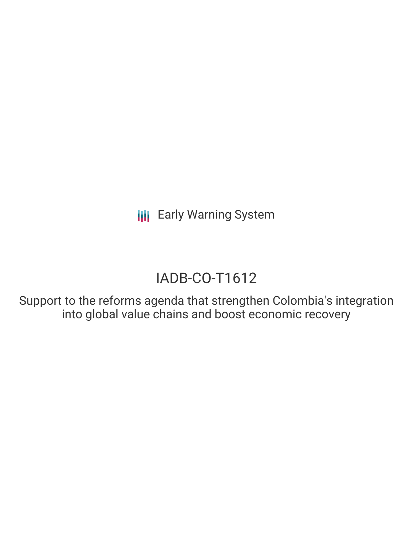**III** Early Warning System

# IADB-CO-T1612

Support to the reforms agenda that strengthen Colombia's integration into global value chains and boost economic recovery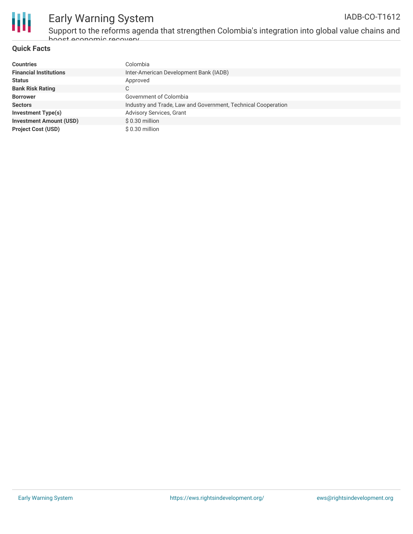

Support to the reforms agenda that strengthen Colombia's integration into global value chains and boost economic recovery

### **Quick Facts**

| <b>Countries</b>               | Colombia                                                      |
|--------------------------------|---------------------------------------------------------------|
| <b>Financial Institutions</b>  | Inter-American Development Bank (IADB)                        |
| <b>Status</b>                  | Approved                                                      |
| <b>Bank Risk Rating</b>        | C                                                             |
| <b>Borrower</b>                | Government of Colombia                                        |
| <b>Sectors</b>                 | Industry and Trade, Law and Government, Technical Cooperation |
| <b>Investment Type(s)</b>      | <b>Advisory Services, Grant</b>                               |
| <b>Investment Amount (USD)</b> | \$0.30 million                                                |
| <b>Project Cost (USD)</b>      | \$0.30 million                                                |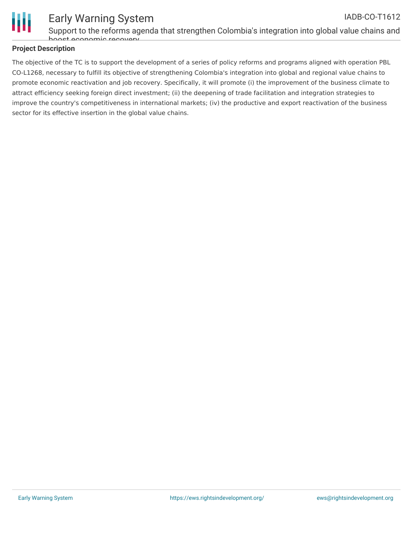

#### Early Warning System Support to the reforms agenda that strengthen Colombia's integration into global value chains and IADB-CO-T1612

boost economic recovery

### **Project Description**

The objective of the TC is to support the development of a series of policy reforms and programs aligned with operation PBL CO-L1268, necessary to fulfill its objective of strengthening Colombia's integration into global and regional value chains to promote economic reactivation and job recovery. Specifically, it will promote (i) the improvement of the business climate to attract efficiency seeking foreign direct investment; (ii) the deepening of trade facilitation and integration strategies to improve the country's competitiveness in international markets; (iv) the productive and export reactivation of the business sector for its effective insertion in the global value chains.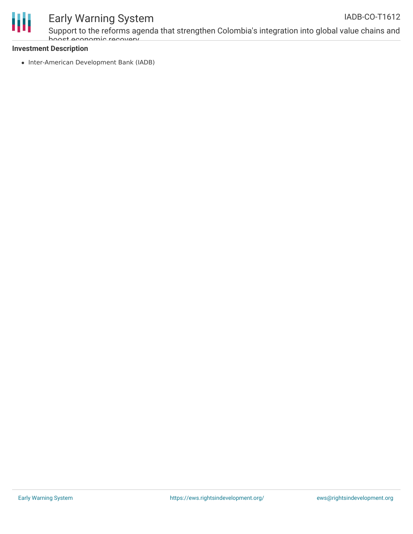

## Early Warning System

Support to the reforms agenda that strengthen Colombia's integration into global value chains and boost economic recovery

### **Investment Description**

• Inter-American Development Bank (IADB)